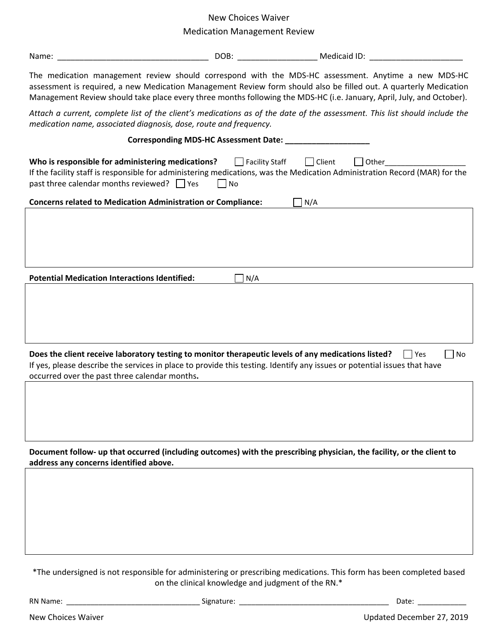# New Choices Waiver

## Medication Management Review

| Name:                                                                                                                                                                                                                                                                                                                                             |     | DOB: ___________________________ Medicaid ID: __________________________________ |  |  |
|---------------------------------------------------------------------------------------------------------------------------------------------------------------------------------------------------------------------------------------------------------------------------------------------------------------------------------------------------|-----|----------------------------------------------------------------------------------|--|--|
| The medication management review should correspond with the MDS-HC assessment. Anytime a new MDS-HC<br>assessment is required, a new Medication Management Review form should also be filled out. A quarterly Medication<br>Management Review should take place every three months following the MDS-HC (i.e. January, April, July, and October). |     |                                                                                  |  |  |
| Attach a current, complete list of the client's medications as of the date of the assessment. This list should include the<br>medication name, associated diagnosis, dose, route and frequency.                                                                                                                                                   |     |                                                                                  |  |  |
|                                                                                                                                                                                                                                                                                                                                                   |     |                                                                                  |  |  |
| Who is responsible for administering medications?<br>Facility Staff<br>  Client<br>Other<br>If the facility staff is responsible for administering medications, was the Medication Administration Record (MAR) for the<br>past three calendar months reviewed? $\Box$ Yes<br>$ $ No                                                               |     |                                                                                  |  |  |
| <b>Concerns related to Medication Administration or Compliance:</b><br>N/A                                                                                                                                                                                                                                                                        |     |                                                                                  |  |  |
|                                                                                                                                                                                                                                                                                                                                                   |     |                                                                                  |  |  |
|                                                                                                                                                                                                                                                                                                                                                   |     |                                                                                  |  |  |
| <b>Potential Medication Interactions Identified:</b>                                                                                                                                                                                                                                                                                              | N/A |                                                                                  |  |  |
|                                                                                                                                                                                                                                                                                                                                                   |     |                                                                                  |  |  |
|                                                                                                                                                                                                                                                                                                                                                   |     |                                                                                  |  |  |
|                                                                                                                                                                                                                                                                                                                                                   |     |                                                                                  |  |  |
|                                                                                                                                                                                                                                                                                                                                                   |     |                                                                                  |  |  |
| Does the client receive laboratory testing to monitor therapeutic levels of any medications listed?<br>No<br>l lYes<br>If yes, please describe the services in place to provide this testing. Identify any issues or potential issues that have                                                                                                   |     |                                                                                  |  |  |
| occurred over the past three calendar months.                                                                                                                                                                                                                                                                                                     |     |                                                                                  |  |  |
|                                                                                                                                                                                                                                                                                                                                                   |     |                                                                                  |  |  |
|                                                                                                                                                                                                                                                                                                                                                   |     |                                                                                  |  |  |
|                                                                                                                                                                                                                                                                                                                                                   |     |                                                                                  |  |  |
| Document follow- up that occurred (including outcomes) with the prescribing physician, the facility, or the client to<br>address any concerns identified above.                                                                                                                                                                                   |     |                                                                                  |  |  |
|                                                                                                                                                                                                                                                                                                                                                   |     |                                                                                  |  |  |
|                                                                                                                                                                                                                                                                                                                                                   |     |                                                                                  |  |  |
|                                                                                                                                                                                                                                                                                                                                                   |     |                                                                                  |  |  |
|                                                                                                                                                                                                                                                                                                                                                   |     |                                                                                  |  |  |
|                                                                                                                                                                                                                                                                                                                                                   |     |                                                                                  |  |  |
|                                                                                                                                                                                                                                                                                                                                                   |     |                                                                                  |  |  |

\*The undersigned is not responsible for administering or prescribing medications. This form has been completed based on the clinical knowledge and judgment of the RN.\*

RN Name: \_\_\_\_\_\_\_\_\_\_\_\_\_\_\_\_\_\_\_\_\_\_\_\_\_\_\_\_\_\_\_\_\_ Signature: \_\_\_\_\_\_\_\_\_\_\_\_\_\_\_\_\_\_\_\_\_\_\_\_\_\_\_\_\_\_\_\_\_\_\_\_\_ Date: \_\_\_\_\_\_\_\_\_\_\_\_

New Choices Waiver New Choices Waiver New Choices Waiver